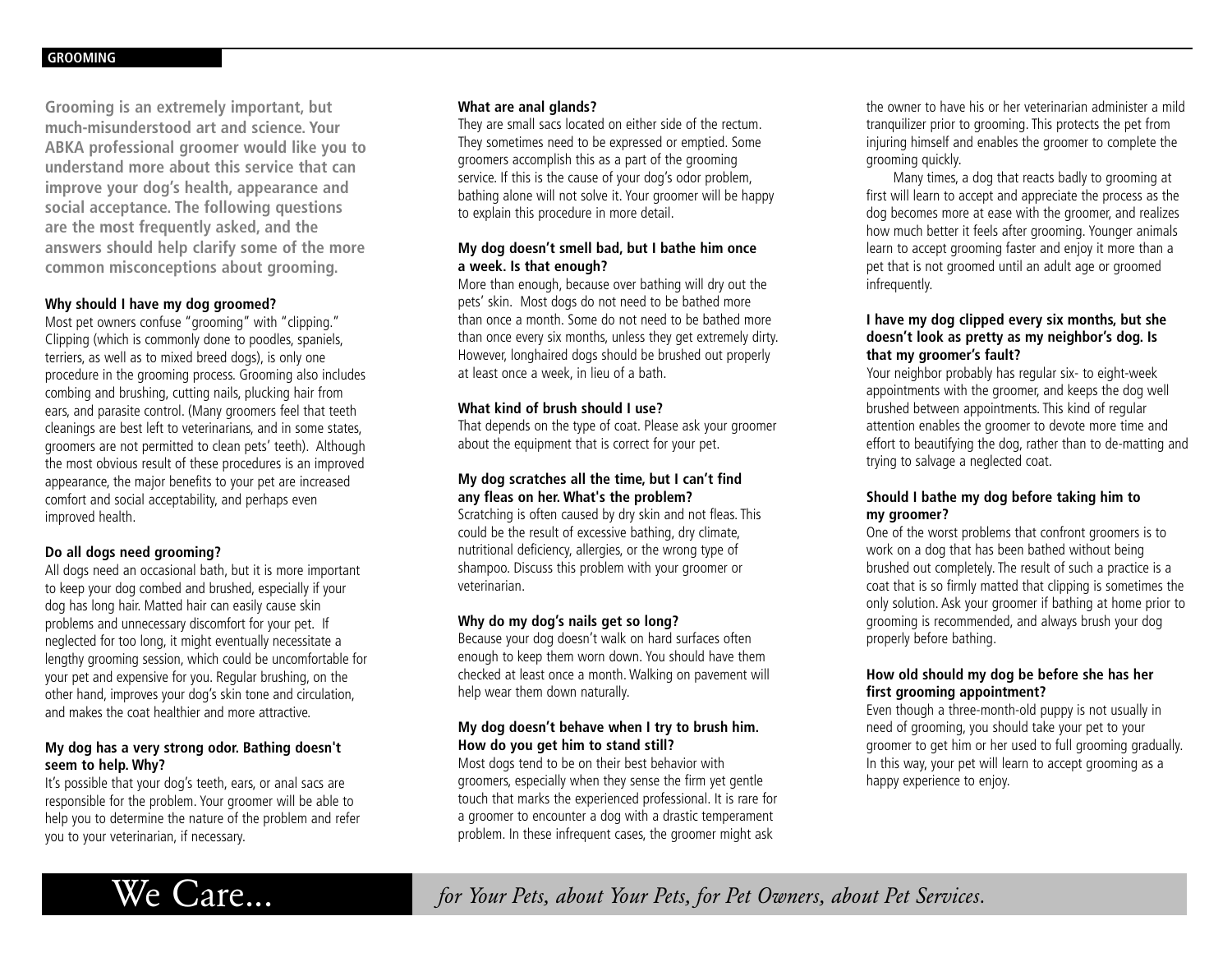**Grooming is an extremely important, but much-misunderstood art and science. Your ABKA professional groomer would like you to understand more about this service that can improve your dog's health, appearance and social acceptance. The following questions are the most frequently asked, and the answers should help clarify some of the more common misconceptions about grooming.**

### **Why should I have my dog groomed?**

Most pet owners confuse "grooming" with "clipping." Clipping (which is commonly done to poodles, spaniels, terriers, as well as to mixed breed dogs), is only one procedure in the grooming process. Grooming also includes combing and brushing, cutting nails, plucking hair from ears, and parasite control. (Many groomers feel that teeth cleanings are best left to veterinarians, and in some states, groomers are not permitted to clean pets' teeth). Although the most obvious result of these procedures is an improved appearance, the major benefits to your pet are increased comfort and social acceptability, and perhaps even improved health.

# **Do all dogs need grooming?**

All dogs need an occasional bath, but it is more important to keep your dog combed and brushed, especially if your dog has long hair. Matted hair can easily cause skin problems and unnecessary discomfort for your pet. If neglected for too long, it might eventually necessitate a lengthy grooming session, which could be uncomfortable for your pet and expensive for you. Regular brushing, on the other hand, improves your dog's skin tone and circulation, and makes the coat healthier and more attractive.

## **My dog has a very strong odor. Bathing doesn't seem to help. Why?**

It's possible that your dog's teeth, ears, or anal sacs are responsible for the problem. Your groomer will be able to help you to determine the nature of the problem and refer you to your veterinarian, if necessary.

#### **What are anal glands?**

They are small sacs located on either side of the rectum. They sometimes need to be expressed or emptied. Some groomers accomplish this as a part of the grooming service. If this is the cause of your dog's odor problem, bathing alone will not solve it. Your groomer will be happy to explain this procedure in more detail.

## **My dog doesn't smell bad, but I bathe him once a week. Is that enough?**

More than enough, because over bathing will dry out the pets' skin. Most dogs do not need to be bathed more than once a month. Some do not need to be bathed more than once every six months, unless they get extremely dirty. However, longhaired dogs should be brushed out properly at least once a week, in lieu of a bath.

## **What kind of brush should I use?**

That depends on the type of coat. Please ask your groomer about the equipment that is correct for your pet.

## **My dog scratches all the time, but I can't find any fleas on her. What's the problem?**

Scratching is often caused by dry skin and not fleas. This could be the result of excessive bathing, dry climate, nutritional deficiency, allergies, or the wrong type of shampoo. Discuss this problem with your groomer or veterinarian.

#### **Why do my dog's nails get so long?**

Because your dog doesn't walk on hard surfaces often enough to keep them worn down. You should have them checked at least once a month. Walking on pavement will help wear them down naturally.

# **My dog doesn't behave when I try to brush him. How do you get him to stand still?**

Most dogs tend to be on their best behavior with groomers, especially when they sense the firm yet gentle touch that marks the experienced professional. It is rare for a groomer to encounter a dog with a drastic temperament problem. In these infrequent cases, the groomer might ask

the owner to have his or her veterinarian administer a mild tranquilizer prior to grooming. This protects the pet from injuring himself and enables the groomer to complete the grooming quickly.

Many times, a dog that reacts badly to grooming at first will learn to accept and appreciate the process as the dog becomes more at ease with the groomer, and realizes how much better it feels after grooming. Younger animals learn to accept grooming faster and enjoy it more than a pet that is not groomed until an adult age or groomed infrequently.

## **I have my dog clipped every six months, but she doesn't look as pretty as my neighbor's dog. Is that my groomer's fault?**

Your neighbor probably has regular six- to eight-week appointments with the groomer, and keeps the dog well brushed between appointments. This kind of regular attention enables the groomer to devote more time and effort to beautifying the dog, rather than to de-matting and trying to salvage a neglected coat.

# **Should I bathe my dog before taking him to my groomer?**

One of the worst problems that confront groomers is to work on a dog that has been bathed without being brushed out completely. The result of such a practice is a coat that is so firmly matted that clipping is sometimes the only solution. Ask your groomer if bathing at home prior to grooming is recommended, and always brush your dog properly before bathing.

## **How old should my dog be before she has her first grooming appointment?**

Even though a three-month-old puppy is not usually in need of grooming, you should take your pet to your groomer to get him or her used to full grooming gradually. In this way, your pet will learn to accept grooming as a happy experience to enjoy.



We Care... *for Your Pets, about Your Pets, for Pet Owners, about Pet Services.*